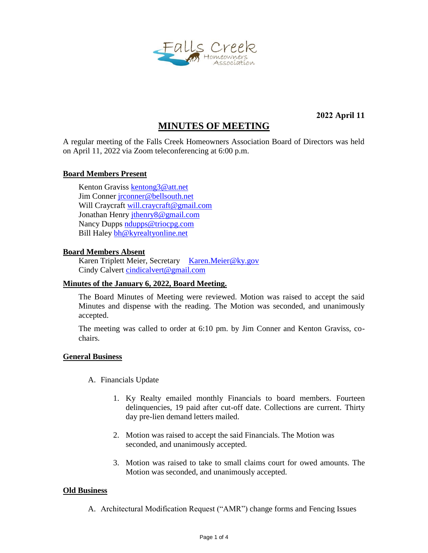

**2022 April 11**

# **MINUTES OF MEETING**

A regular meeting of the Falls Creek Homeowners Association Board of Directors was held on April 11, 2022 via Zoom teleconferencing at 6:00 p.m.

### **Board Members Present**

Kenton Graviss [kentong3@att.net](mailto:kentong3@att.net) Jim Conne[r jrconner@bellsouth.net](mailto:jrconner@bellsouth.net) Will Craycraft [will.craycraft@gmail.com](mailto:will.craycraft@gmail.com) Jonathan Henry [jthenry8@gmail.com](mailto:jthenry8@gmail.com) Nancy Dupps [ndupps@triocpg.com](mailto:ndupps@triocpg.com) Bill Haley [bh@kyrealtyonline.net](mailto:bh@kyrealtyonline.net)

#### **Board Members Absent**

Karen Triplett Meier, Secretary [Karen.Meier@ky.gov](mailto:Karen.Meier@ky.gov) Cindy Calvert [cindicalvert@gmail.com](mailto:cindicalvert@gmail.com)

#### **Minutes of the January 6, 2022, Board Meeting.**

The Board Minutes of Meeting were reviewed. Motion was raised to accept the said Minutes and dispense with the reading. The Motion was seconded, and unanimously accepted.

The meeting was called to order at 6:10 pm. by Jim Conner and Kenton Graviss, cochairs.

#### **General Business**

- A. Financials Update
	- 1. Ky Realty emailed monthly Financials to board members. Fourteen delinquencies, 19 paid after cut-off date. Collections are current. Thirty day pre-lien demand letters mailed.
	- 2. Motion was raised to accept the said Financials. The Motion was seconded, and unanimously accepted.
	- 3. Motion was raised to take to small claims court for owed amounts. The Motion was seconded, and unanimously accepted.

#### **Old Business**

A. Architectural Modification Request ("AMR") change forms and Fencing Issues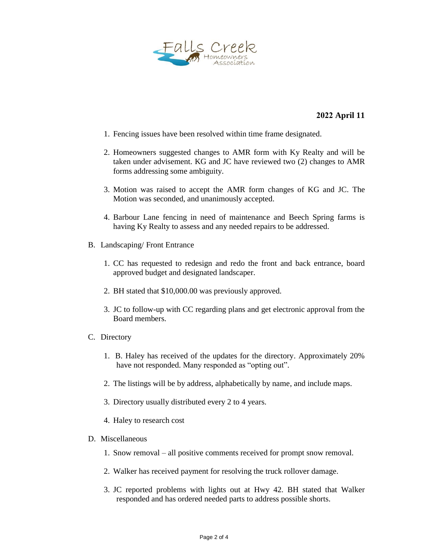

## **2022 April 11**

- 1. Fencing issues have been resolved within time frame designated.
- 2. Homeowners suggested changes to AMR form with Ky Realty and will be taken under advisement. KG and JC have reviewed two (2) changes to AMR forms addressing some ambiguity.
- 3. Motion was raised to accept the AMR form changes of KG and JC. The Motion was seconded, and unanimously accepted.
- 4. Barbour Lane fencing in need of maintenance and Beech Spring farms is having Ky Realty to assess and any needed repairs to be addressed.
- B. Landscaping/ Front Entrance
	- 1. CC has requested to redesign and redo the front and back entrance, board approved budget and designated landscaper.
	- 2. BH stated that \$10,000.00 was previously approved.
	- 3. JC to follow-up with CC regarding plans and get electronic approval from the Board members.
- C. Directory
	- 1. B. Haley has received of the updates for the directory. Approximately 20% have not responded. Many responded as "opting out".
	- 2. The listings will be by address, alphabetically by name, and include maps.
	- 3. Directory usually distributed every 2 to 4 years.
	- 4. Haley to research cost
- D. Miscellaneous
	- 1. Snow removal all positive comments received for prompt snow removal.
	- 2. Walker has received payment for resolving the truck rollover damage.
	- 3. JC reported problems with lights out at Hwy 42. BH stated that Walker responded and has ordered needed parts to address possible shorts.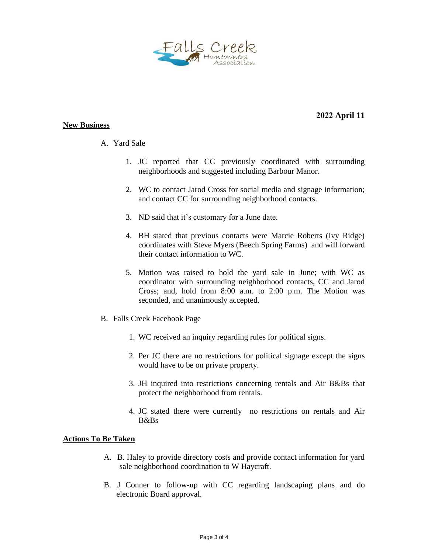

#### **New Business**

# **2022 April 11**

## A. Yard Sale

- 1. JC reported that CC previously coordinated with surrounding neighborhoods and suggested including Barbour Manor.
- 2. WC to contact Jarod Cross for social media and signage information; and contact CC for surrounding neighborhood contacts.
- 3. ND said that it's customary for a June date.
- 4. BH stated that previous contacts were Marcie Roberts (Ivy Ridge) coordinates with Steve Myers (Beech Spring Farms) and will forward their contact information to WC.
- 5. Motion was raised to hold the yard sale in June; with WC as coordinator with surrounding neighborhood contacts, CC and Jarod Cross; and, hold from 8:00 a.m. to 2:00 p.m. The Motion was seconded, and unanimously accepted.
- B. Falls Creek Facebook Page
	- 1. WC received an inquiry regarding rules for political signs.
	- 2. Per JC there are no restrictions for political signage except the signs would have to be on private property.
	- 3. JH inquired into restrictions concerning rentals and Air B&Bs that protect the neighborhood from rentals.
	- 4. JC stated there were currently no restrictions on rentals and Air B&Bs

#### **Actions To Be Taken**

- A. B. Haley to provide directory costs and provide contact information for yard sale neighborhood coordination to W Haycraft.
- B. J Conner to follow-up with CC regarding landscaping plans and do electronic Board approval.